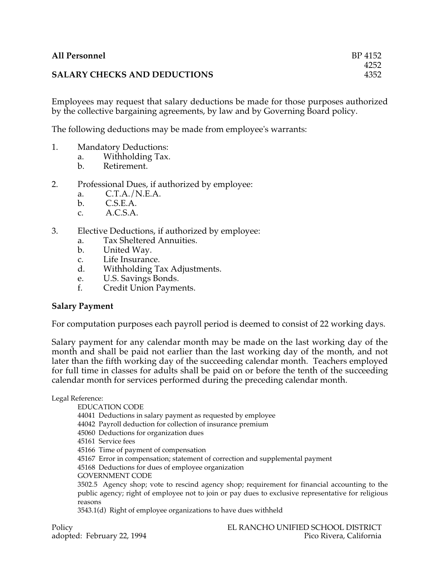## **SALARY CHECKS AND DEDUCTIONS**

Employees may request that salary deductions be made for those purposes authorized by the collective bargaining agreements, by law and by Governing Board policy.

The following deductions may be made from employee's warrants:

- 1. Mandatory Deductions:
	- a. Withholding Tax.
	- b. Retirement.
- 2. Professional Dues, if authorized by employee:
	- a. C.T.A./N.E.A.
	- b. C.S.E.A.
	- c. A.C.S.A.
- 3. Elective Deductions, if authorized by employee:
	- a. Tax Sheltered Annuities.
	- b. United Way.
	- c. Life Insurance.<br>d. Withholding Ta
	- Withholding Tax Adjustments.
	- e. U.S. Savings Bonds.
	- Credit Union Payments.

## **Salary Payment**

For computation purposes each payroll period is deemed to consist of 22 working days.

Salary payment for any calendar month may be made on the last working day of the month and shall be paid not earlier than the last working day of the month, and not later than the fifth working day of the succeeding calendar month. Teachers employed for full time in classes for adults shall be paid on or before the tenth of the succeeding calendar month for services performed during the preceding calendar month.

Legal Reference:

EDUCATION CODE

44041 Deductions in salary payment as requested by employee

44042 Payroll deduction for collection of insurance premium

45060 Deductions for organization dues

45161 Service fees

45166 Time of payment of compensation

45167 Error in compensation; statement of correction and supplemental payment

45168 Deductions for dues of employee organization

GOVERNMENT CODE

3502.5 Agency shop; vote to rescind agency shop; requirement for financial accounting to the public agency; right of employee not to join or pay dues to exclusive representative for religious reasons

3543.1(d) Right of employee organizations to have dues withheld